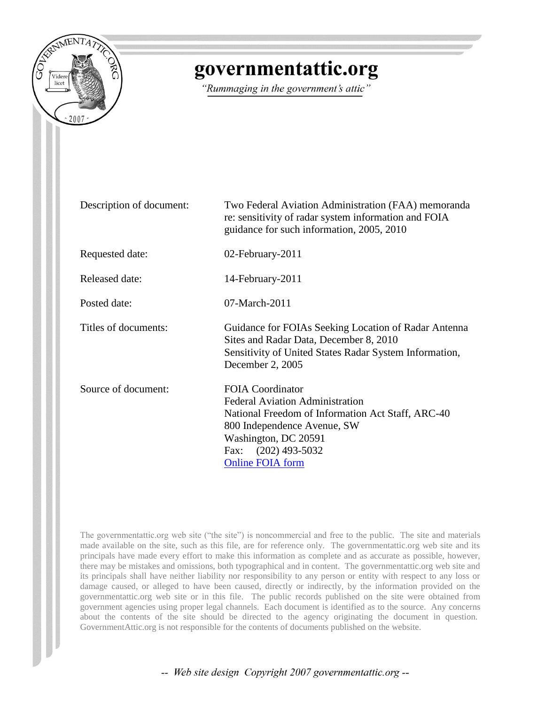

## governmentattic.org

"Rummaging in the government's attic"

| Description of document: | Two Federal Aviation Administration (FAA) memoranda<br>re: sensitivity of radar system information and FOIA<br>guidance for such information, 2005, 2010                                                                             |
|--------------------------|--------------------------------------------------------------------------------------------------------------------------------------------------------------------------------------------------------------------------------------|
| Requested date:          | 02-February-2011                                                                                                                                                                                                                     |
| <b>Released date:</b>    | 14-February-2011                                                                                                                                                                                                                     |
| Posted date:             | 07-March-2011                                                                                                                                                                                                                        |
| Titles of documents:     | Guidance for FOIAs Seeking Location of Radar Antenna<br>Sites and Radar Data, December 8, 2010<br>Sensitivity of United States Radar System Information,<br>December 2, 2005                                                         |
| Source of document:      | <b>FOIA Coordinator</b><br><b>Federal Aviation Administration</b><br>National Freedom of Information Act Staff, ARC-40<br>800 Independence Avenue, SW<br>Washington, DC 20591<br>$(202)$ 493-5032<br>Fax:<br><b>Online FOIA form</b> |

The governmentattic.org web site ("the site") is noncommercial and free to the public. The site and materials made available on the site, such as this file, are for reference only. The governmentattic.org web site and its principals have made every effort to make this information as complete and as accurate as possible, however, there may be mistakes and omissions, both typographical and in content. The governmentattic.org web site and its principals shall have neither liability nor responsibility to any person or entity with respect to any loss or damage caused, or alleged to have been caused, directly or indirectly, by the information provided on the governmentattic.org web site or in this file. The public records published on the site were obtained from government agencies using proper legal channels. Each document is identified as to the source. Any concerns about the contents of the site should be directed to the agency originating the document in question. GovernmentAttic.org is not responsible for the contents of documents published on the website.

-- Web site design Copyright 2007 governmentattic.org --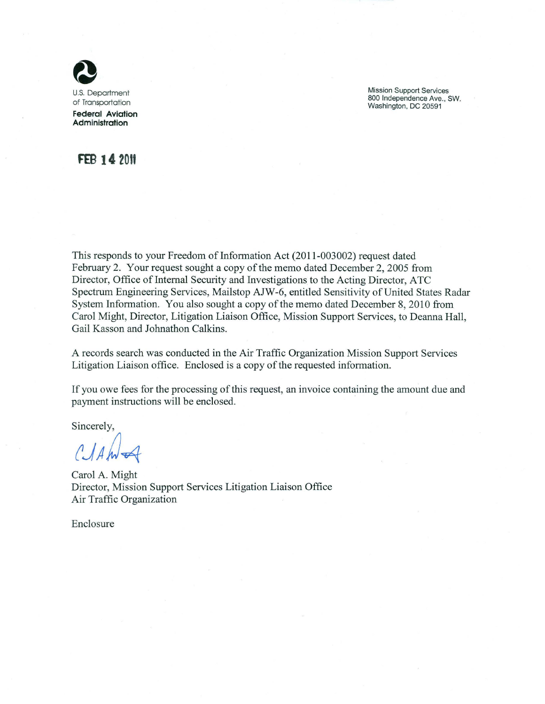

Mission Support Services 800 Independence Ave., SW. Washington, DC 20591

### **FEB 14 20tt**

This responds to your Freedom of Information Act  $(2011-003002)$  request dated February 2. Your request sought a copy of the memo dated December 2, 2005 from Director, Office of Internal Security and Investigations to the Acting Director, ATC Spectrum Engineering Services, Mailstop AJW-6, entitled Sensitivity of United States Radar System Information. You also sought a copy of the memo dated December 8, 2010 from Carol Might, Director, Litigation Liaison Office, Mission Support Services, to Deanna Hall, Gail Kasson and Johnathon Calkins.

A records search was conducted in the Air Traffic Organization Mission Support Services Litigation Liaison office. Enclosed is a copy of the requested information.

If you owe fees for the processing of this request, an invoice containing the amount due and payment instructions will be enclosed.

Sincerely,

 $C\mathcal{A}$ A

Carol A. Might Director, Mission Support Services Litigation Liaison Office Air Traffic Organization

Enclosure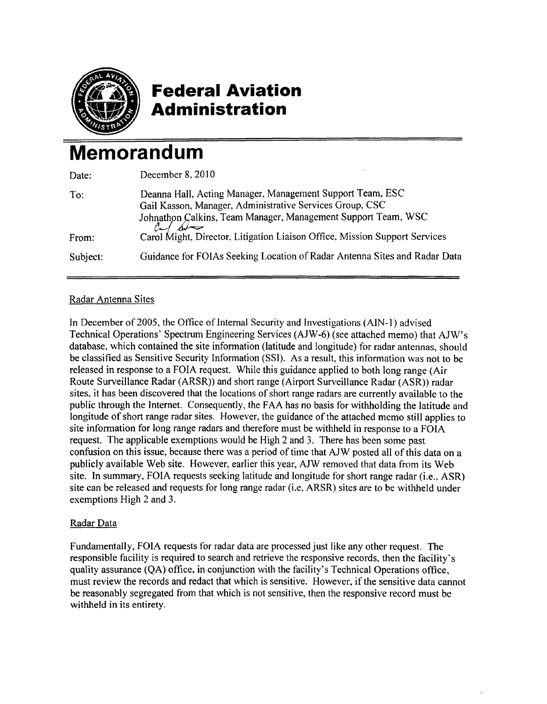

### **Federal Aviation Administration**

# **Memorandum**

| Date:    | December 8, 2010                                                                                                                                                                                      |
|----------|-------------------------------------------------------------------------------------------------------------------------------------------------------------------------------------------------------|
| To:      | Deanna Hall, Acting Manager, Management Support Team, ESC<br>Gail Kasson, Manager, Administrative Services Group, CSC<br>Johnathon Calkins, Team Manager, Management Support Team, WSC<br>$c$ between |
| From:    | Carol Might, Director, Litigation Liaison Office, Mission Support Services                                                                                                                            |
| Subject: | Guidance for FOIAs Seeking Location of Radar Antenna Sites and Radar Data                                                                                                                             |

#### Radar Antenna Sites

In December of 2005, the Office of Internal Security and Investigations (AIN-1) advised Technical Operations' Spectrum Engineering Services (AJW-6) (see attached memo) that AJW's database, which contained the site information (latitude and longitude) for radar antennas, should be classified as Sensitive Security Information (SSI). As a result, this information was not to be released in response to a FOIA request. While this guidance applied to both long range (Air Route Surveillance Radar (ARSR)) and short range (Airport Surveillance Radar (ASR)) radar sites, it has been discovered that the locations of short range radars are currently available to the public through the Internet. Consequently, the FAA has no basis tor withholding the latitude and longitude of short range radar sites. However, the guidance of the attached memo still applies to site information for long range radars and therefore must be withheld in response to a FOlA request. The applicable exemptions would be High 2 and 3. There has been some past confusion on this issue, because there was a period of time that AJW posted all of this data on a publicly available Web site. However, earlier this year, AJW removed that data from its Web site. In summary, FOIA requests seeking latitude and longitude for short range radar (i.e., ASR) site can be released and requests for long range radar (i.e, ARSR) sites are to be withheld under exemptions High 2 and 3.

#### Radar Data

Fundamentally, FOIA requests tor radar data are processed just like any other request. The responsible facility is required to search and retrieve the responsive records, then the facility's quality assurance (QA) ofiice, in conjunction with the facility's Technical Operations oftice, must review the records and redact that which is sensitive. However, if the sensitive data cannot be reasonably segregated from that which is not sensitive, then the responsive record must be withheld in its entirety.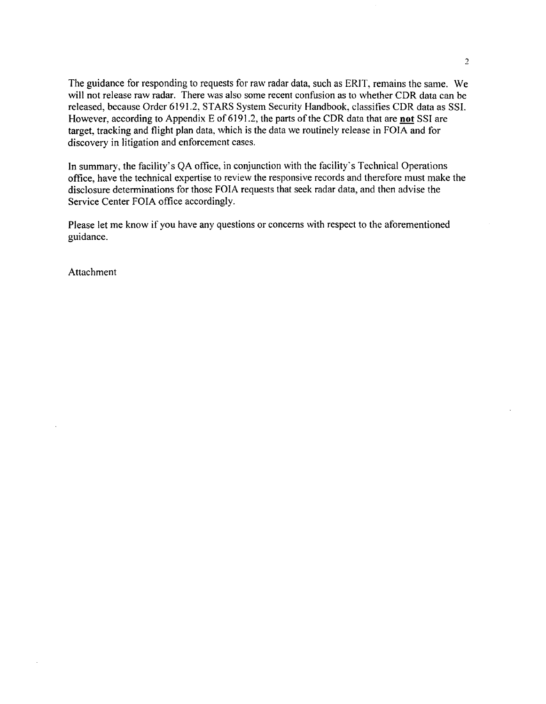The guidance for responding to requests for raw radar data, such as ERIT, remains the same. We will not release raw radar. There was also some recent confusion as to whether CDR data can be released, because Order 6191.2, STARS System Security Handbook, classifies CDR data as SSI. However, according to Appendix E of 6191.2, the parts of the CDR data that are **not** SSI are target, tracking and flight plan data, which is the data we routinely release in FOIA and for discovery in litigation and enforcement cases.

In summary, the facility's QA office, in conjunction with the facility's Technical Operations office, have the technical expertise to review the responsive records and therefore must make the disclosure determinations for those FOIA requests that seek radar data, and then advise the Service Center FOIA office accordingly.

Please let me know if you have any questions or concerns with respect to the aforementioned guidance.

Attachment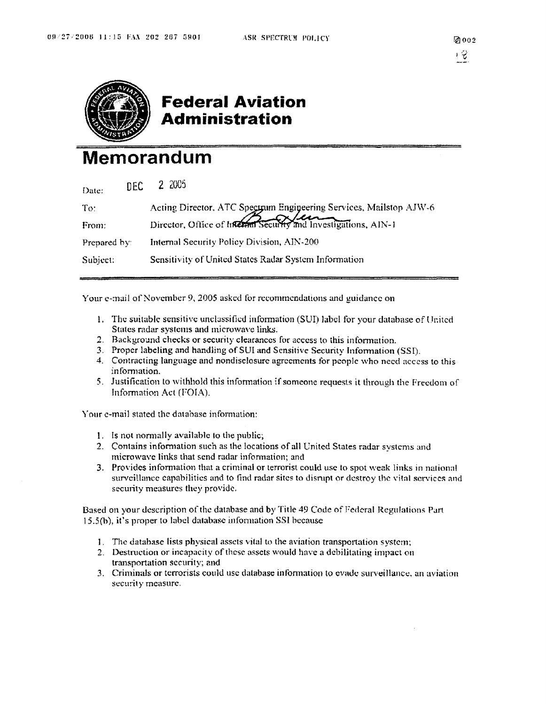

### **Federal Aviation Administration**

## **Memorandum**

| Date:        | nec. | 2 2005                                                                                                                                |
|--------------|------|---------------------------------------------------------------------------------------------------------------------------------------|
| To:          |      | Acting Director, ATC Spectrum Engineering Services, Mailstop AJW-6<br>Director, Office of Internal Security and Investigations, AIN-1 |
| From:        |      |                                                                                                                                       |
| Prepared by: |      | Internal Security Policy Division, AIN-200                                                                                            |
| Subject:     |      | Sensitivity of United States Radar System Information                                                                                 |
|              |      |                                                                                                                                       |

Your e-mail of November 9, 2005 asked for recommendations and guidance on

- 1. The suitable sensitive unclassified information (SUI) label for your database of United States radar systems and microwave links.
- 2. Background checks or security clearances for access to this information.
- 3. Proper labeling and handling of SUI and Sensitive Security Information (SSI).
- 4. Contracting language and nondisclosure agreements for people who need access to this information.
- 5. Justification to withhold this information if someone requests it through the Freedom of Information Act (FOIA).

Your e-mail stated the database information:

- 1. Is not normally available to the public;
- 2. Contains information such as the locations of all United States radar systems and microwave links that send radar information; and
- 3. Provides information that a criminal or terrorist could use to spot weak links in national surveillance capabilities and to find radar sites to disrupt or destroy the vital services and security measures they provide.

Based on your description of the database and by Title 49 Code of Federal Regulations Part 15.5(h), it's proper to label database information SSI because

- 1. The database lists physical assets vital to the aviation transportation system;
- 2. Destruction or incapacity of these assets would have a debilitating impact on transportation security; and
- 3. Criminals or terrorists could usc database infonnation to evade surveillance. an aviation security measure.